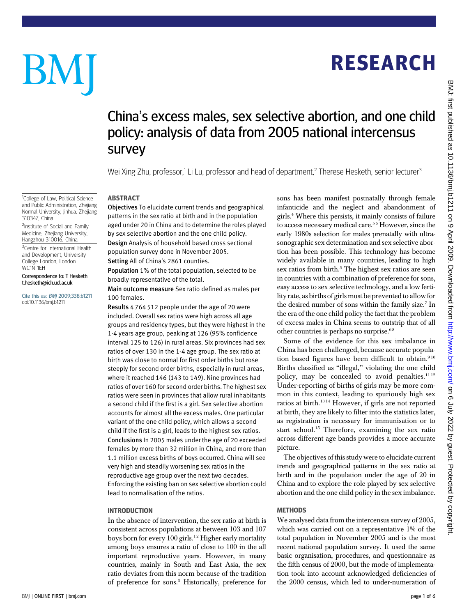# **RESEARCH** RESEARCH

# BM

<sup>1</sup>College of Law, Political Science

Hangzhou 310016, China

College London, London

Correspondence to: T Hesketh t.hesketh@ich.ucl.ac.uk

Cite this as: BMJ 2009;338:b1211 doi:10.1136/bmj.b1211

310347, China

WC1N 1EH

## China's excess males, sex selective abortion, and one child policy: analysis of data from 2005 national intercensus survey

Wei Xing Zhu, professor,<sup>1</sup> Li Lu, professor and head of department,<sup>2</sup> Therese Hesketh, senior lecturer<sup>3</sup>

-----------<br>Objectives To elucidate current trends and geographical patterns in the sex ratio at birth and in the population aged under 20 in China and to determine the roles played by sex selective abortion and the one child policy. Design Analysis of household based cross sectional population survey done in November 2005. and Public Administration, Zhejiang Normal University, Jinhua, Zhejiang <sup>2</sup>Institute of Social and Family Medicine, Zhejiang University, <sup>3</sup>Centre for International Health and Development, University

Setting All of China's 2861 counties.

Population 1% of the total population, selected to be broadly representative of the total.

Main outcome measure Sex ratio defined as males per 100 females.

Results 4 764 512 people under the age of 20 were included. Overall sex ratios were high across all age groups and residency types, but they were highest in the 1-4 years age group, peaking at 126 (95% confidence interval 125 to 126) in rural areas. Six provinces had sex ratios of over 130 in the 1-4 age group. The sex ratio at birth was close to normal for first order births but rose steeply for second order births, especially in rural areas, where it reached 146 (143 to 149). Nine provinces had ratios of over 160 for second order births. The highest sex ratios were seen in provinces that allow rural inhabitants a second child if the first is a girl. Sex selective abortion accounts for almost all the excess males. One particular variant of the one child policy, which allows a second child if the first is a girl, leads to the highest sex ratios. Conclusions In 2005 males under the age of 20 exceeded females by more than 32 million in China, and more than 1.1 million excess births of boys occurred. China will see very high and steadily worsening sex ratios in the reproductive age group over the next two decades. Enforcing the existing ban on sex selective abortion could lead to normalisation of the ratios.

## **INTRODUCTION**

In the absence of intervention, the sex ratio at birth is consistent across populations at between 103 and 107 boys born for every  $100$  girls.<sup>12</sup> Higher early mortality among boys ensures a ratio of close to 100 in the all important reproductive years. However, in many countries, mainly in South and East Asia, the sex ratio deviates from this norm because of the tradition of preference for sons.3 Historically, preference for sons has been manifest postnatally through female infanticide and the neglect and abandonment of girls.4 Where this persists, it mainly consists of failure to access necessary medical care.<sup>56</sup> However, since the early 1980s selection for males prenatally with ultrasonographic sex determination and sex selective abortion has been possible. This technology has become widely available in many countries, leading to high sex ratios from birth.<sup>5</sup> The highest sex ratios are seen in countries with a combination of preference for sons, easy access to sex selective technology, and a low fertility rate, as births of girls must be prevented to allow for the desired number of sons within the family size.<sup>7</sup> In the era of the one child policy the fact that the problem of excess males in China seems to outstrip that of all other countries is perhaps no surprise.<sup>68</sup>

Some of the evidence for this sex imbalance in China has been challenged, because accurate population based figures have been difficult to obtain.<sup>910</sup> Births classified as "illegal," violating the one child policy, may be concealed to avoid penalties. $1112$ Under-reporting of births of girls may be more common in this context, leading to spuriously high sex ratios at birth.13 14 However, if girls are not reported at birth, they are likely to filter into the statistics later, as registration is necessary for immunisation or to start school.<sup>15</sup> Therefore, examining the sex ratio across different age bands provides a more accurate picture.

The objectives of this study were to elucidate current trends and geographical patterns in the sex ratio at birth and in the population under the age of 20 in China and to explore the role played by sex selective abortion and the one child policy in the sex imbalance.

#### **MFTHODS**

...\_\_\_\_\_\_\_<br>We analysed data from the intercensus survey of 2005, which was carried out on a representative 1% of the total population in November 2005 and is the most recent national population survey. It used the same basic organisation, procedures, and questionnaire as the fifth census of 2000, but the mode of implementation took into account acknowledged deficiencies of the 2000 census, which led to under-numeration of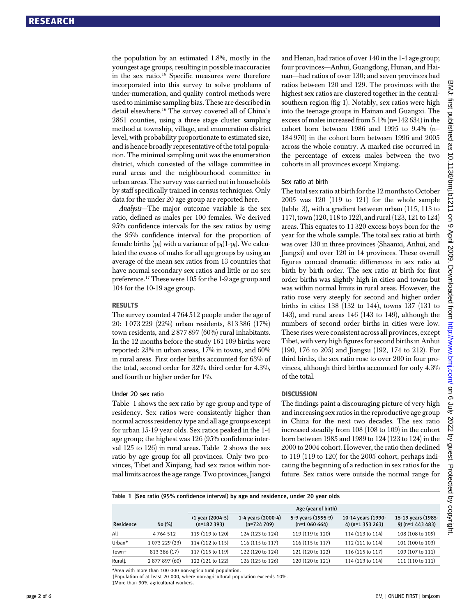the population by an estimated 1.8%, mostly in the youngest age groups, resulting in possible inaccuracies in the sex ratio.16 Specific measures were therefore incorporated into this survey to solve problems of under-numeration, and quality control methods were used to minimise sampling bias. These are described in detail elsewhere.16 The survey covered all of China's 2861 counties, using a three stage cluster sampling method at township, village, and enumeration district level, with probability proportionate to estimated size, and is hence broadly representative of the total population. The minimal sampling unit was the enumeration district, which consisted of the village committee in rural areas and the neighbourhood committee in urban areas. The survey was carried out in households by staff specifically trained in census techniques. Only data for the under 20 age group are reported here.

Analysis—The major outcome variable is the sex ratio, defined as males per 100 females. We derived 95% confidence intervals for the sex ratios by using the 95% confidence interval for the proportion of female births  $(p_f)$  with a variance of  $p_f(1-p_f)$ . We calculated the excess of males for all age groups by using an average of the mean sex ratios from 13 countries that have normal secondary sex ratios and little or no sex preference.17 These were 105 for the 1-9 age group and 104 for the 10-19 age group.

#### **RESULTS**

The survey counted 4 764 512 people under the age of 20: 1 073 229 (22%) urban residents, 813 386 (17%) town residents, and 2 877 897 (60%) rural inhabitants. In the 12 months before the study 161 109 births were reported: 23% in urban areas, 17% in towns, and 60% in rural areas. First order births accounted for 63% of the total, second order for 32%, third order for 4.3%, and fourth or higher order for 1%.

## Under 20 sex ratio

Table 1 shows the sex ratio by age group and type of residency. Sex ratios were consistently higher than normal across residency type and all age groups except for urban 15-19 year olds. Sex ratios peaked in the 1-4 age group; the highest was 126 (95% confidence interval 125 to 126) in rural areas. Table 2 shows the sex ratio by age group for all provinces. Only two provinces, Tibet and Xinjiang, had sex ratios within normal limits across the age range. Two provinces, Jiangxi and Henan, had ratios of over 140 in the 1-4 age group; four provinces—Anhui, Guangdong, Hunan, and Hainan—had ratios of over 130; and seven provinces had ratios between 120 and 129. The provinces with the highest sex ratios are clustered together in the centralsouthern region (fig 1). Notably, sex ratios were high into the teenage groups in Hainan and Guangxi. The excess of males increased from 5.1% (n=142 634) in the cohort born between 1986 and 1995 to 9.4%  $(n=$ 184 970) in the cohort born between 1996 and 2005 across the whole country. A marked rise occurred in the percentage of excess males between the two cohorts in all provinces except Xinjiang.

#### Sex ratio at birth

The total sex ratio at birth for the 12 months to October 2005 was 120 (119 to 121) for the whole sample (table 3), with a gradient between urban (115, 113 to 117), town (120, 118 to 122), and rural (123, 121 to 124) areas. This equates to 11 320 excess boys born for the year for the whole sample. The total sex ratio at birth was over 130 in three provinces (Shaanxi, Anhui, and Jiangxi) and over 120 in 14 provinces. These overall figures conceal dramatic differences in sex ratio at birth by birth order. The sex ratio at birth for first order births was slightly high in cities and towns but was within normal limits in rural areas. However, the ratio rose very steeply for second and higher order births in cities 138 (132 to 144), towns 137 (131 to 143), and rural areas 146 (143 to 149), although the numbers of second order births in cities were low. These rises were consistent across all provinces, except Tibet, with very high figures for second births in Anhui (190, 176 to 205) and Jiangsu (192, 174 to 212). For third births, the sex ratio rose to over 200 in four provinces, although third births accounted for only 4.3% of the total.

## **DISCUSSION**

The findings paint a discouraging picture of very high and increasing sex ratios in the reproductive age group in China for the next two decades. The sex ratio increased steadily from 108 (108 to 109) in the cohort born between 1985 and 1989 to 124 (123 to 124) in the 2000 to 2004 cohort. However, the ratio then declined to 119 (119 to 120) for the 2005 cohort, perhaps indicating the beginning of a reduction in sex ratios for the future. Sex ratios were outside the normal range for

Table 1 |Sex ratio (95% confidence interval) by age and residence, under 20 year olds

|           | Age (year of birth) |                                  |                                    |                                     |                                        |                                        |
|-----------|---------------------|----------------------------------|------------------------------------|-------------------------------------|----------------------------------------|----------------------------------------|
| Residence | No (%)              | <1 year (2004-5)<br>$(n=182393)$ | 1-4 years (2000-4)<br>$(n=724709)$ | 5-9 years (1995-9)<br>$(n=1060664)$ | 10-14 years (1990-<br>4) (n=1 353 263) | 15-19 years (1985-<br>9) (n=1 443 483) |
| All       | 4764512             | 119 (119 to 120)                 | 124 (123 to 124)                   | 119 (119 to 120)                    | 114 (113 to 114)                       | 108 (108 to 109)                       |
| Urban*    | 1 073 229 (23)      | 114 (112 to 115)                 | 116 (115 to 117)                   | 116 (115 to 117)                    | 112 (111 to 114)                       | 101 (100 to 103)                       |
| Town†     | 813 386 (17)        | 117 (115 to 119)                 | 122 (120 to 124)                   | 121 (120 to 122)                    | 116 (115 to 117)                       | 109 (107 to 111)                       |
| Rural‡    | 2 877 897 (60)      | 122 (121 to 122)                 | 126 (125 to 126)                   | 120 (120 to 121)                    | 114 (113 to 114)                       | 111 (110 to 111)                       |

\*Area with more than 100 000 non-agricultural population.

†Population of at least 20 000, where non-agricultural population exceeds 10%. ‡More than 90% agricultural workers.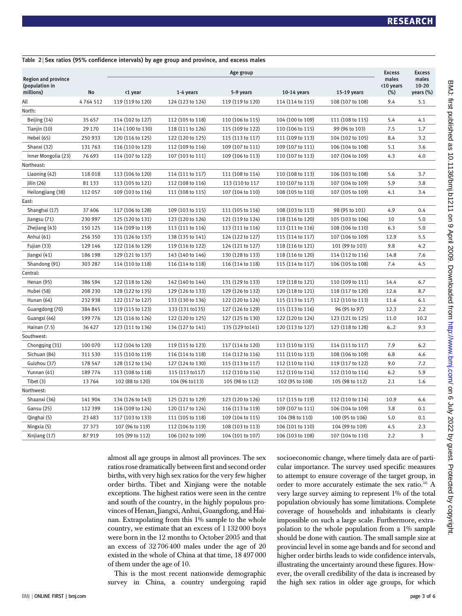|                                                           |          | Age group        |                  |                  |                  |                  | <b>Excess</b>                | <b>Excess</b>                   |
|-----------------------------------------------------------|----------|------------------|------------------|------------------|------------------|------------------|------------------------------|---------------------------------|
| <b>Region and province</b><br>(population in<br>millions) | No       | <1 year          | 1-4 years        | 5-9 years        | 10-14 years      | 15-19 years      | males<br><10 years<br>$(\%)$ | males<br>$10 - 20$<br>years (%) |
| All                                                       | 4764512  | 119 (119 to 120) | 124 (123 to 124) | 119 (119 to 120) | 114 (114 to 115) | 108 (107 to 108) | 9.4                          | 5.1                             |
| North:                                                    |          |                  |                  |                  |                  |                  |                              |                                 |
| Beijing (14)                                              | 35 657   | 114 (102 to 127) | 112 (105 to 118) | 110 (106 to 115) | 104 (100 to 109) | 111 (108 to 115) | 5.4                          | 4.1                             |
| Tianjin (10)                                              | 29 170   | 114 (100 to 130) | 118 (111 to 126) | 115 (109 to 122) | 110 (106 to 115) | 99 (96 to 103)   | 7.5                          | 1.7                             |
| Hebei (65)                                                | 250 933  | 120 (116 to 125) | 122 (120 to 125) | 115 (113 to 117) | 111 (109 to 113) | 104 (102 to 105) | 8.4                          | 3.2                             |
| Shanxi (32)                                               | 131 763  | 116 (110 to 123) | 112 (109 to 116) | 109 (107 to 111) | 109 (107 to 111) | 106 (104 to 108) | 5.1                          | 3.6                             |
| Inner Mongolia (23)                                       | 76 693   | 114 (107 to 122) | 107 (103 to 111) | 109 (106 to 113) | 110 (107 to 113) | 107 (104 to 109) | 4.3                          | 4.0                             |
| Northeast:                                                |          |                  |                  |                  |                  |                  |                              |                                 |
| Liaoning (42)                                             | 118 018  | 113 (106 to 120) | 114 (111 to 117) | 111 (108 to 114) | 110 (108 to 113) | 106 (103 to 108) | 5.6                          | 3.7                             |
| Jilin (26)                                                | 81 1 33  | 113 (105 to 121) | 112 (108 to 116) | 113 (110 to 117  | 110 (107 to 113) | 107 (104 to 109) | 5.9                          | 3.8                             |
| Heilongjiang (38)                                         | 112 057  | 109 (103 to 116) | 111 (108 to 115) | 107 (104 to 110) | 108 (105 to 110) | 107 (105 to 109) | 4.1                          | 3.4                             |
| East:                                                     |          |                  |                  |                  |                  |                  |                              |                                 |
| Shanghai (17)                                             | 37 40 6  | 117 (106 to 128) | 109 (103 to 115) | 111 (105 to 116) | 108 (103 to 113) | 98 (95 to 101)   | 4.9                          | 0.4                             |
| Jiangsu (71)                                              | 230 997  | 125 (120 to 131) | 123 (120 to 126) | 121 (119 to 124) | 118 (116 to 120) | 105 (103 to 106) | 10                           | 5.0                             |
| Zhejiang (43)                                             | 150 125  | 114 (109 to 119) | 113 (111 to 116) | 113 (111 to 116) | 113 (111 to 116) | 108 (106 to 110) | 6.3                          | 5.0                             |
| Anhui (61)                                                | 256 350  | 131 (126 to 137) | 138 (135 to 141) | 124 (122 to 127) | 115 (114 to 117) | 107 (106 to 109) | 12.9                         | 5.5                             |
| Fujian (33)                                               | 129 146  | 122 (116 to 129) | 119 (116 to 122) | 124 (121 to 127) | 118 (116 to 121) | 101 (99 to 103)  | 9.8                          | 4.2                             |
| Jiangxi (41)                                              | 186 198  | 129 (121 to 137) | 143 (140 to 146) | 130 (128 to 133) | 118 (116 to 120) | 114 (112 to 116) | 14.8                         | 7.6                             |
| Shandong (91)                                             | 303 287  | 114 (110 to 118) | 116 (114 to 118) | 116 (114 to 118) | 115 (114 to 117) | 106 (105 to 108) | 7.4                          | 4.5                             |
| Central:                                                  |          |                  |                  |                  |                  |                  |                              |                                 |
| Henan (95)                                                | 386 594  | 122 (118 to 126) | 142 (140 to 144) | 131 (129 to 133) | 119 (118 to 121) | 110 (109 to 111) | 14.4                         | 6.7                             |
| Hubei (58)                                                | 208 230  | 128 (122 to 135) | 129 (126 to 133) | 129 (126 to 132) | 120 (118 to 121) | 118 (117 to 120) | 12.6                         | 8.7                             |
| Hunan (64)                                                | 232 938  | 122 (117 to 127) | 133 (130 to 136) | 122 (120 to 124) | 115 (113 to 117) | 112 (110 to 113) | 11.6                         | 6.1                             |
| Guangdong (70)                                            | 384 845  | 119 (115 to 123) | 133 (131 to 135) | 127 (126 to 129) | 115 (113 to 116) | 96 (95 to 97)    | 12.3                         | 2.2                             |
| Guangxi (46)                                              | 199776   | 121 (116 to 126) | 122 (120 to 125) | 127 (125 to 130) | 122 (120 to 124) | 123 (121 to 125) | 11.0                         | 10.2                            |
| Hainan (7.5)                                              | 36 4 27  | 123 (111 to 136) | 134 (127 to 141) | 135 (129 to 141) | 120 (113 to 127) | 123 (118 to 128) | 6.2                          | 9.3                             |
| Southwest:                                                |          |                  |                  |                  |                  |                  |                              |                                 |
| Chongqing (31)                                            | 100 070  | 112 (104 to 120) | 119 (115 to 123) | 117 (114 to 120) | 113 (110 to 115) | 114 (111 to 117) | 7.9                          | 6.2                             |
| Sichuan (84)                                              | 311 530  | 115 (110 to 119) | 116 (114 to 118) | 114 (112 to 116) | 111 (110 to 113) | 108 (106 to 109) | 6.8                          | 4.6                             |
| Guizhou (37)                                              | 178 547  | 128 (112 to 134) | 127 (124 to 130) | 115 (113 to 117) | 112 (110 to 114) | 119 (117 to 122) | 9.0                          | 7.2                             |
| Yunnan (41)                                               | 189774   | 113 (108 to 118) | 115 (113 to 117) | 112 (110 to 114) | 112 (110 to 114) | 112 (110 to 114) | 6.2                          | 5.9                             |
| Tibet (3)                                                 | 13764    | 102 (88 to 120)  | 104 (96 to 113)  | 105 (98 to 112)  | 102 (95 to 108)  | 105 (98 to 112)  | 2.1                          | 1.6                             |
| Northwest:                                                |          |                  |                  |                  |                  |                  |                              |                                 |
| Shaanxi (36)                                              | 141 904  | 134 (126 to 143) | 125 (121 to 129) | 123 (120 to 126) | 117 (115 to 119) | 112 (110 to 114) | 10.9                         | 6.6                             |
| Gansu (25)                                                | 112 399  | 116 (109 to 124) | 120 (117 to 124) | 116 (113 to 119) | 109 (107 to 111) | 106 (104 to 109) | 3.8                          | 0.1                             |
| Qinghai (5)                                               | 23 4 8 3 | 117 (103 to 133) | 111 (105 to 118) | 109 (104 to 115) | 104 (98 to 110)  | 100 (95 to 106)  | 5.0                          | 0.1                             |
| Ningxia (5)                                               | 27 373   | 107 (96 to 119)  | 112 (106 to 119) | 108 (103 to 113) | 106 (101 to 110) | 104 (99 to 109)  | 4.5                          | 2.3                             |
| Xinjiang (17)                                             | 87 919   | 105 (99 to 112)  | 106 (102 to 109) | 104 (101 to 107) | 106 (103 to 108) | 107 (104 to 110) | 2.2                          | 3                               |

Table 2 | Sex ratios (95% confidence intervals) by age group and province, and excess males

almost all age groups in almost all provinces. The sex ratios rose dramatically between first and second order births, with very high sex ratios for the very few higher order births. Tibet and Xinjiang were the notable exceptions. The highest ratios were seen in the centre and south of the country, in the highly populous provinces of Henan, Jiangxi, Anhui, Guangdong, and Hainan. Extrapolating from this 1% sample to the whole country, we estimate that an excess of 1 132 000 boys were born in the 12 months to October 2005 and that an excess of 32 706 400 males under the age of 20 existed in the whole of China at that time, 18 497 000 of them under the age of 10.

This is the most recent nationwide demographic survey in China, a country undergoing rapid socioeconomic change, where timely data are of particular importance. The survey used specific measures to attempt to ensure coverage of the target group, in order to more accurately estimate the sex ratio.<sup>16</sup> A very large survey aiming to represent 1% of the total population obviously has some limitations. Complete coverage of households and inhabitants is clearly impossible on such a large scale. Furthermore, extrapolation to the whole population from a 1% sample should be done with caution. The small sample size at provincial level in some age bands and for second and higher order births leads to wide confidence intervals, illustrating the uncertainty around these figures. However, the overall credibility of the data is increased by the high sex ratios in older age groups, for which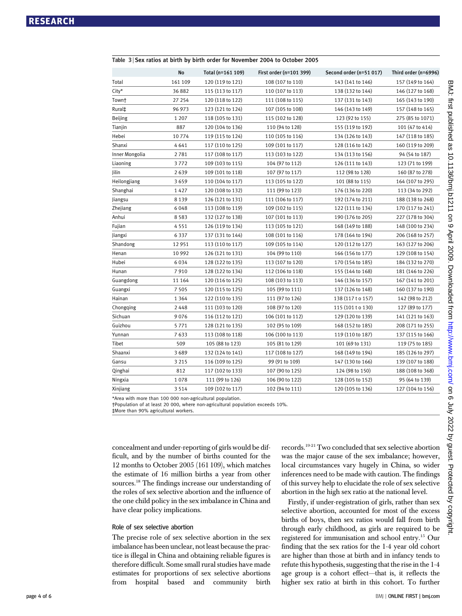|                | No      | Total (n=161 109) | First order (n=101 399) | Second order (n=51 017) | Third order (n=6996) |
|----------------|---------|-------------------|-------------------------|-------------------------|----------------------|
| Total          | 161 109 | 120 (119 to 121)  | 108 (107 to 110)        | 143 (141 to 146)        | 157 (149 to 164)     |
| City*          | 36882   | 115 (113 to 117)  | 110 (107 to 113)        | 138 (132 to 144)        | 146 (127 to 168)     |
| Town†          | 27 254  | 120 (118 to 122)  | 111 (108 to 115)        | 137 (131 to 143)        | 165 (143 to 190)     |
| Rural‡         | 96 973  | 123 (121 to 124)  | 107 (105 to 108)        | 146 (143 to 149)        | 157 (148 to 165)     |
| <b>Beijing</b> | 1 2 0 7 | 118 (105 to 131)  | 115 (102 to 128)        | 123 (92 to 155)         | 275 (85 to 1071)     |
| Tianjin        | 887     | 120 (104 to 136)  | 110 (94 to 128)         | 155 (119 to 192)        | 101 (47 to 414)      |
| Hebei          | 10774   | 119 (115 to 124)  | 110 (105 to 116)        | 134 (126 to 143)        | 147 (118 to 185)     |
| Shanxi         | 4641    | 117 (110 to 125)  | 109 (101 to 117)        | 128 (116 to 142)        | 160 (119 to 209)     |
| Inner Mongolia | 2781    | 117 (108 to 117)  | 113 (103 to 122)        | 134 (113 to 156)        | 94 (54 to 187)       |
| Liaoning       | 3772    | 109 (103 to 115)  | 104 (97 to 112)         | 126 (111 to 143)        | 123 (71 to 199)      |
| Jilin          | 2639    | 109 (101 to 118)  | 107 (97 to 117)         | 112 (98 to 128)         | 160 (87 to 278)      |
| Heilongjiang   | 3659    | 110 (104 to 117)  | 113 (105 to 122)        | 101 (88 to 115)         | 164 (107 to 295)     |
| Shanghai       | 1427    | 120 (108 to 132)  | 111 (99 to 123)         | 176 (136 to 220)        | 113 (34 to 292)      |
| Jiangsu        | 8139    | 126 (121 to 131)  | 111 (106 to 117)        | 192 (174 to 211)        | 188 (138 to 268)     |
| Zhejiang       | 6048    | 113 (108 to 119)  | 109 (102 to 115)        | 122 (111 to 134)        | 170 (117 to 241)     |
| Anhui          | 8583    | 132 (127 to 138)  | 107 (101 to 113)        | 190 (176 to 205)        | 227 (178 to 304)     |
| Fujian         | 4551    | 126 (119 to 134)  | 113 (105 to 121)        | 168 (149 to 188)        | 148 (100 to 234)     |
| Jiangxi        | 6337    | 137 (131 to 144)  | 108 (101 to 116)        | 178 (164 to 194)        | 206 (168 to 257)     |
| Shandong       | 12951   | 113 (110 to 117)  | 109 (105 to 114)        | 120 (112 to 127)        | 163 (127 to 206)     |
| Henan          | 10992   | 126 (121 to 131)  | 104 (99 to 110)         | 166 (156 to 177)        | 129 (108 to 154)     |
| Hubei          | 6034    | 128 (122 to 135)  | 113 (107 to 120)        | 170 (154 to 185)        | 184 (132 to 270)     |
| Hunan          | 7910    | 128 (122 to 134)  | 112 (106 to 118)        | 155 (144 to 168)        | 181 (146 to 226)     |
| Guangdong      | 11 164  | 120 (116 to 125)  | 108 (103 to 113)        | 146 (136 to 157)        | 167 (141 to 201)     |
| Guangxi        | 7 5 0 5 | 120 (115 to 125)  | 105 (99 to 111)         | 137 (126 to 148)        | 160 (137 to 190)     |
| Hainan         | 1 3 6 4 | 122 (110 to 135)  | 111 (97 to 126)         | 138 (117 t o 157)       | 142 (98 to 212)      |
| Chongqing      | 2448    | 111 (103 to 120)  | 108 (97 to 120)         | 115 (101 t o 130)       | 127 (89 to 177)      |
| Sichuan        | 9076    | 116 (112 to 121)  | 106 (101 to 112)        | 129 (120 to 139)        | 141 (121 to 163)     |
| Guizhou        | 5771    | 128 (121 to 135)  | 102 (95 to 109)         | 168 (152 to 185)        | 208 (171 to 255)     |
| Yunnan         | 7633    | 113 (108 to 118)  | 106 (100 to 113)        | 119 (110 to 187)        | 137 (115 to 166)     |
| Tibet          | 509     | 105 (88 to 123)   | 105 (81 to 129)         | 101 (69 to 131)         | 119 (75 to 185)      |
| Shaanxi        | 3689    | 132 (124 to 141)  | 117 (108 to 127)        | 168 (149 to 194)        | 185 (126 to 297)     |
| Gansu          | 3 2 1 5 | 116 (109 to 125)  | 99 (91 to 109)          | 147 (130 to 166)        | 139 (107 to 188)     |
| Qinghai        | 812     | 117 (102 to 133)  | 107 (90 to 125)         | 124 (98 to 150)         | 188 (108 to 368)     |
| Ningxia        | 1078    | 111 (99 to 126)   | 106 (90 to 122)         | 128 (105 to 152)        | 95 (64 to 139)       |
| Xinjiang       | 3514    | 109 (102 to 117)  | 102 (94 to 111)         | 120 (105 to 136)        | 127 (104 to 156)     |

Table 3 | Sex ratios at birth by birth order for November 2004 to October 2005

\*Area with more than 100 000 non-agricultural population.

†Population of at least 20 000, where non-agricultural population exceeds 10%.

‡More than 90% agricultural workers.

concealment and under-reporting of girls would be difficult, and by the number of births counted for the 12 months to October 2005 (161 109), which matches the estimate of 16 million births a year from other sources.18 The findings increase our understanding of the roles of sex selective abortion and the influence of the one child policy in the sex imbalance in China and have clear policy implications.

#### Role of sex selective abortion

The precise role of sex selective abortion in the sex imbalance has been unclear, not least because the practice is illegal in China and obtaining reliable figures is therefore difficult. Some small rural studies have made estimates for proportions of sex selective abortions from hospital based and community birth records.19-21 Two concluded that sex selective abortion was the major cause of the sex imbalance; however, local circumstances vary hugely in China, so wider inferences need to be made with caution. The findings of this survey help to elucidate the role of sex selective abortion in the high sex ratio at the national level.

Firstly, if under-registration of girls, rather than sex selective abortion, accounted for most of the excess births of boys, then sex ratios would fall from birth through early childhood, as girls are required to be registered for immunisation and school entry.15 Our finding that the sex ratios for the 1-4 year old cohort are higher than those at birth and in infancy tends to refute this hypothesis, suggesting that the rise in the 1-4 age group is a cohort effect—that is, it reflects the higher sex ratio at birth in this cohort. To further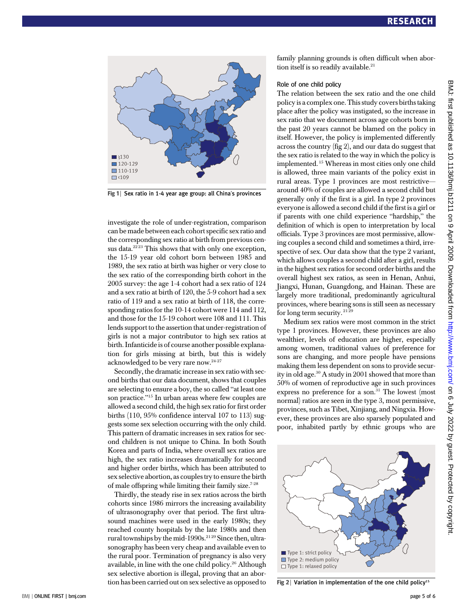

Fig 1 | Sex ratio in 1-4 year age group: all China's provinces

investigate the role of under-registration, comparison can be made between each cohort specific sex ratio and the corresponding sex ratio at birth from previous census data. $2^{223}$  This shows that with only one exception, the 15-19 year old cohort born between 1985 and 1989, the sex ratio at birth was higher or very close to the sex ratio of the corresponding birth cohort in the 2005 survey: the age 1-4 cohort had a sex ratio of 124 and a sex ratio at birth of 120, the 5-9 cohort had a sex ratio of 119 and a sex ratio at birth of 118, the corresponding ratios for the 10-14 cohort were 114 and 112, and those for the 15-19 cohort were 108 and 111. This lends support to the assertion that under-registration of girls is not a major contributor to high sex ratios at birth. Infanticide is of course another possible explanation for girls missing at birth, but this is widely acknowledged to be very rare now.24-27

Secondly, the dramatic increase in sex ratio with second births that our data document, shows that couples are selecting to ensure a boy, the so called "at least one son practice."<sup>15</sup> In urban areas where few couples are allowed a second child, the high sex ratio for first order births (110, 95% confidence interval 107 to 113) suggests some sex selection occurring with the only child. This pattern of dramatic increases in sex ratios for second children is not unique to China. In both South Korea and parts of India, where overall sex ratios are high, the sex ratio increases dramatically for second and higher order births, which has been attributed to sex selective abortion, as couples try to ensure the birth of male offspring while limiting their family size.<sup>7-28</sup>

Thirdly, the steady rise in sex ratios across the birth cohorts since 1986 mirrors the increasing availability of ultrasonography over that period. The first ultrasound machines were used in the early 1980s; they reached county hospitals by the late 1980s and then rural townships by the mid-1990s.<sup>2129</sup> Since then, ultrasonography has been very cheap and available even to the rural poor. Termination of pregnancy is also very available, in line with the one child policy.26 Although sex selective abortion is illegal, proving that an abortion has been carried out on sex selective as opposed to family planning grounds is often difficult when abortion itself is so readily available. $21$ 

#### Role of one child policy

The relation between the sex ratio and the one child policy is a complex one. This study covers births taking place after the policy was instigated, so the increase in sex ratio that we document across age cohorts born in the past 20 years cannot be blamed on the policy in itself. However, the policy is implemented differently across the country (fig 2), and our data do suggest that the sex ratio is related to the way in which the policy is implemented. <sup>15</sup> Whereas in most cities only one child is allowed, three main variants of the policy exist in rural areas. Type 1 provinces are most restrictive around 40% of couples are allowed a second child but generally only if the first is a girl. In type 2 provinces everyone is allowed a second child if the first is a girl or if parents with one child experience "hardship," the definition of which is open to interpretation by local officials. Type 3 provinces are most permissive, allowing couples a second child and sometimes a third, irrespective of sex. Our data show that the type 2 variant, which allows couples a second child after a girl, results in the highest sex ratios for second order births and the overall highest sex ratios, as seen in Henan, Anhui, Jiangxi, Hunan, Guangdong, and Hainan. These are largely more traditional, predominantly agricultural provinces, where bearing sons is still seen as necessary for long term security.<sup>2129</sup>

Medium sex ratios were most common in the strict type 1 provinces. However, these provinces are also wealthier, levels of education are higher, especially among women, traditional values of preference for sons are changing, and more people have pensions making them less dependent on sons to provide security in old age.<sup>30</sup> A study in 2001 showed that more than 50% of women of reproductive age in such provinces express no preference for a son.<sup>31</sup> The lowest (most normal) ratios are seen in the type 3, most permissive, provinces, such as Tibet, Xinjiang, and Ningxia. However, these provinces are also sparsely populated and poor, inhabited partly by ethnic groups who are



Fig 2 | Variation in implementation of the one child policy<sup>15</sup>